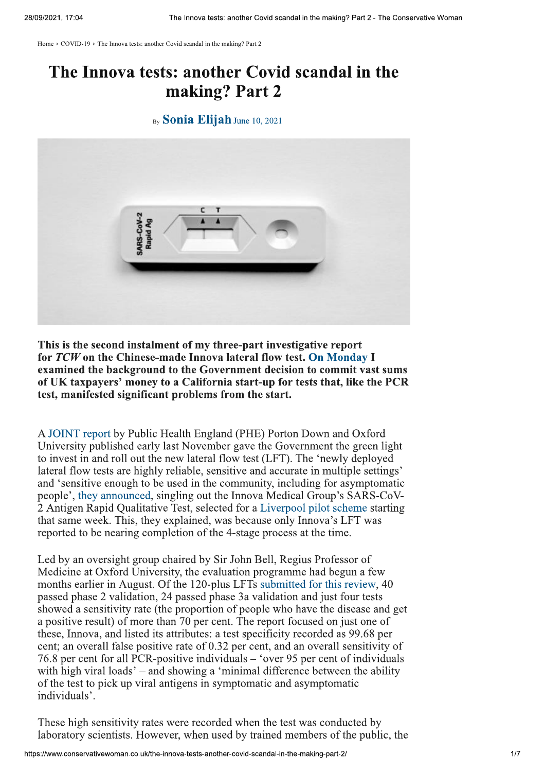Home > COVID-19 > The Innova tests: another Covid scandal in the making? Part 2

## The Innova tests: another Covid scandal in the making? Part 2

## By Sonia Elijah June 10, 2021



This is the second instalment of my three-part investigative report for TCW on the Chinese-made Innova lateral flow test. On Monday I examined the background to the Government decision to commit vast sums of UK taxpayers' money to a California start-up for tests that, like the PCR test, manifested significant problems from the start.

A JOINT report by Public Health England (PHE) Porton Down and Oxford University published early last November gave the Government the green light to invest in and roll out the new lateral flow test (LFT). The 'newly deployed lateral flow tests are highly reliable, sensitive and accurate in multiple settings' and 'sensitive enough to be used in the community, including for asymptomatic people', they announced, singling out the Innova Medical Group's SARS-CoV-2 Antigen Rapid Qualitative Test, selected for a Liverpool pilot scheme starting that same week. This, they explained, was because only Innova's LFT was reported to be nearing completion of the 4-stage process at the time.

Led by an oversight group chaired by Sir John Bell, Regius Professor of Medicine at Oxford University, the evaluation programme had begun a few months earlier in August. Of the 120-plus LFTs submitted for this review, 40 passed phase 2 validation, 24 passed phase 3a validation and just four tests showed a sensitivity rate (the proportion of people who have the disease and get a positive result) of more than 70 per cent. The report focused on just one of these, Innova, and listed its attributes: a test specificity recorded as 99.68 per cent; an overall false positive rate of 0.32 per cent, and an overall sensitivity of 76.8 per cent for all PCR-positive individuals – 'over 95 per cent of individuals with high viral loads' – and showing a 'minimal difference between the ability of the test to pick up viral antigens in symptomatic and asymptomatic individuals'.

These high sensitivity rates were recorded when the test was conducted by laboratory scientists. However, when used by trained members of the public, the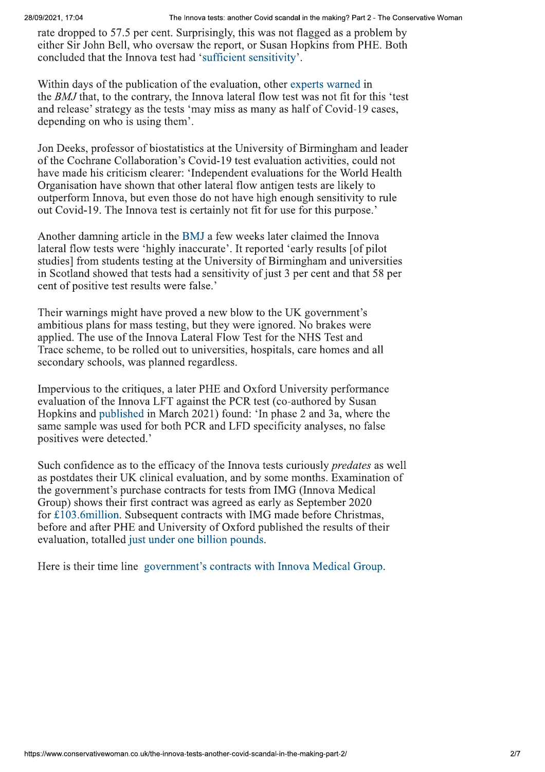rate dropped to 57.5 per cent. Surprisingly, this was not flagged as a problem by either Sir John Bell, who oversaw the report, or Susan Hopkins from PHE. Both concluded that the Innova test had 'sufficient sensitivity'.

Within days of the publication of the evaluation, other experts warned in the BMJ that, to the contrary, the Innova lateral flow test was not fit for this 'test and release' strategy as the tests 'may miss as many as half of Covid-19 cases, depending on who is using them'.

Jon Deeks, professor of biostatistics at the University of Birmingham and leader of the Cochrane Collaboration's Covid-19 test evaluation activities, could not have made his criticism clearer: 'Independent evaluations for the World Health Organisation have shown that other lateral flow antigen tests are likely to outperform Innova, but even those do not have high enough sensitivity to rule out Covid-19. The Innova test is certainly not fit for use for this purpose.'

Another damning article in the BMJ a few weeks later claimed the Innova lateral flow tests were 'highly inaccurate'. It reported 'early results [of pilot] studies] from students testing at the University of Birmingham and universities in Scotland showed that tests had a sensitivity of just 3 per cent and that 58 per cent of positive test results were false.'

Their warnings might have proved a new blow to the UK government's ambitious plans for mass testing, but they were ignored. No brakes were applied. The use of the Innova Lateral Flow Test for the NHS Test and Trace scheme, to be rolled out to universities, hospitals, care homes and all secondary schools, was planned regardless.

Impervious to the critiques, a later PHE and Oxford University performance evaluation of the Innova LFT against the PCR test (co-authored by Susan Hopkins and published in March 2021) found: 'In phase 2 and 3a, where the same sample was used for both PCR and LFD specificity analyses, no false positives were detected.'

Such confidence as to the efficacy of the Innova tests curiously *predates* as well as postdates their UK clinical evaluation, and by some months. Examination of the government's purchase contracts for tests from IMG (Innova Medical Group) shows their first contract was agreed as early as September 2020 for £103.6 million. Subsequent contracts with IMG made before Christmas, before and after PHE and University of Oxford published the results of their evaluation, totalled just under one billion pounds.

Here is their time line government's contracts with Innova Medical Group.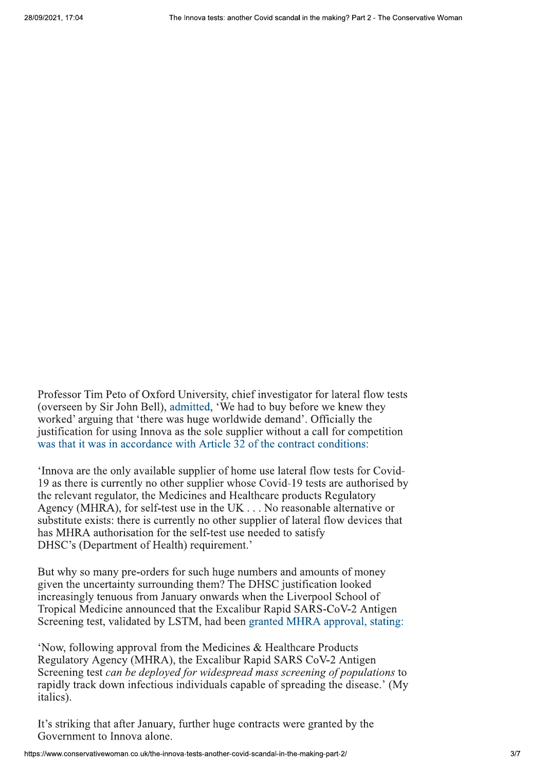Professor Tim Peto of Oxford University, chief investigator for lateral flow tests (overseen by Sir John Bell), admitted, 'We had to buy before we knew they worked' arguing that 'there was huge worldwide demand'. Officially the justification for using Innova as the sole supplier without a call for competition was that it was in accordance with Article 32 of the contract conditions:

'Innova are the only available supplier of home use lateral flow tests for Covid-19 as there is currently no other supplier whose Covid-19 tests are authorised by the relevant regulator, the Medicines and Healthcare products Regulatory Agency (MHRA), for self-test use in the UK . . . No reasonable alternative or substitute exists: there is currently no other supplier of lateral flow devices that has MHRA authorisation for the self-test use needed to satisfy DHSC's (Department of Health) requirement.'

But why so many pre-orders for such huge numbers and amounts of money given the uncertainty surrounding them? The DHSC justification looked increasingly tenuous from January onwards when the Liverpool School of Tropical Medicine announced that the Excalibur Rapid SARS-CoV-2 Antigen Screening test, validated by LSTM, had been granted MHRA approval, stating:

'Now, following approval from the Medicines & Healthcare Products Regulatory Agency (MHRA), the Excalibur Rapid SARS CoV-2 Antigen Screening test can be deployed for widespread mass screening of populations to rapidly track down infectious individuals capable of spreading the disease.' (My italics).

It's striking that after January, further huge contracts were granted by the Government to Innova alone.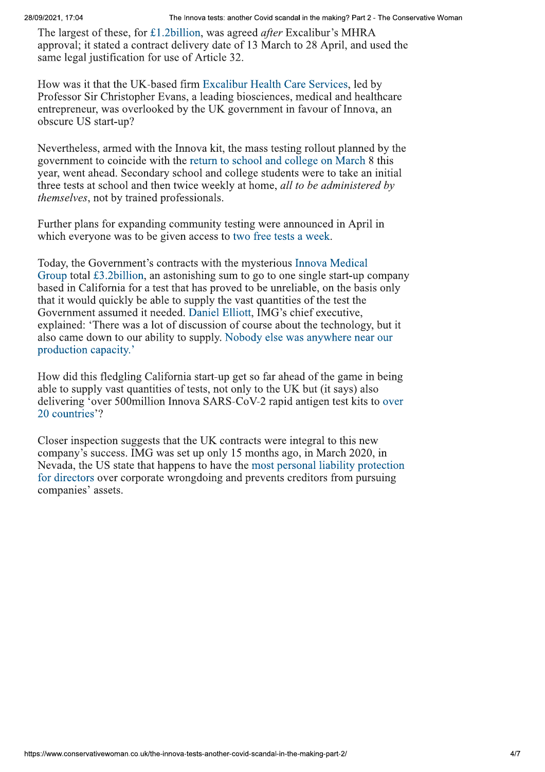meorize:  $r$  road<br>
The linearistic function of the Ukublican, was uprede of the Classinata' in Particular 2. The formula and the state of the controller is MHLA<br>
approval; it stated a contrade delivery date of 13 Match to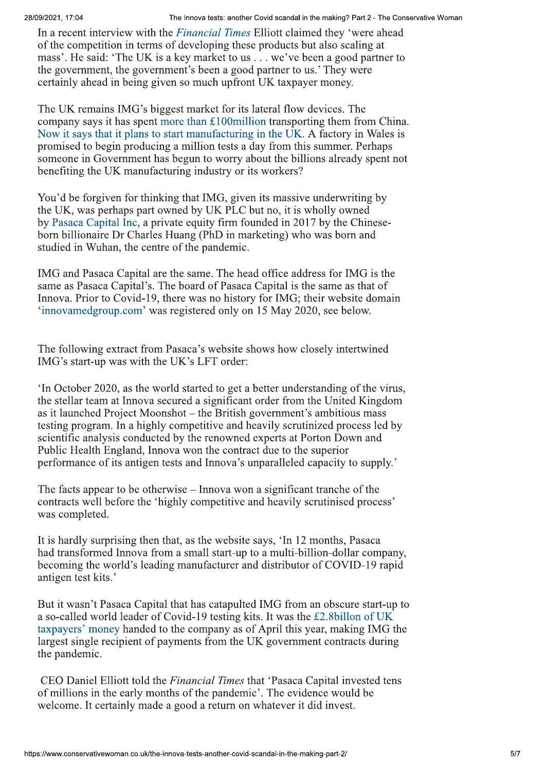and ont a real interview with the absorption and ancient contains the constraint of the absorption of the absorption of the constraints of the constraints of the constraints of the constraints in the matrix in the constra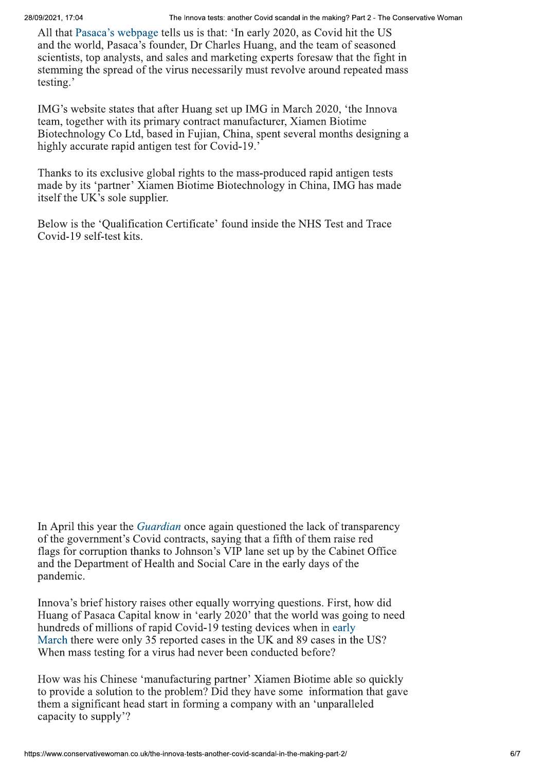All that Pasaca's webpage tells us is that: 'In early 2020, as Covid hit the US and the world, Pasaca's founder, Dr Charles Huang, and the team of seasoned scientists, top analysts, and sales and marketing experts foresaw that the fight in stemming the spread of the virus necessarily must revolve around repeated mass testing.'

IMG's website states that after Huang set up IMG in March 2020, 'the Innova team, together with its primary contract manufacturer, Xiamen Biotime Biotechnology Co Ltd, based in Fujian, China, spent several months designing a highly accurate rapid antigen test for Covid-19.'

Thanks to its exclusive global rights to the mass-produced rapid antigen tests made by its 'partner' Xiamen Biotime Biotechnology in China, IMG has made itself the UK's sole supplier.

Below is the 'Qualification Certificate' found inside the NHS Test and Trace Covid-19 self-test kits.

In April this year the *Guardian* once again questioned the lack of transparency of the government's Covid contracts, saying that a fifth of them raise red flags for corruption thanks to Johnson's VIP lane set up by the Cabinet Office and the Department of Health and Social Care in the early days of the pandemic.

Innova's brief history raises other equally worrying questions. First, how did Huang of Pasaca Capital know in 'early 2020' that the world was going to need hundreds of millions of rapid Covid-19 testing devices when in early March there were only 35 reported cases in the UK and 89 cases in the US? When mass testing for a virus had never been conducted before?

How was his Chinese 'manufacturing partner' Xiamen Biotime able so quickly to provide a solution to the problem? Did they have some information that gave them a significant head start in forming a company with an 'unparalleled capacity to supply'?